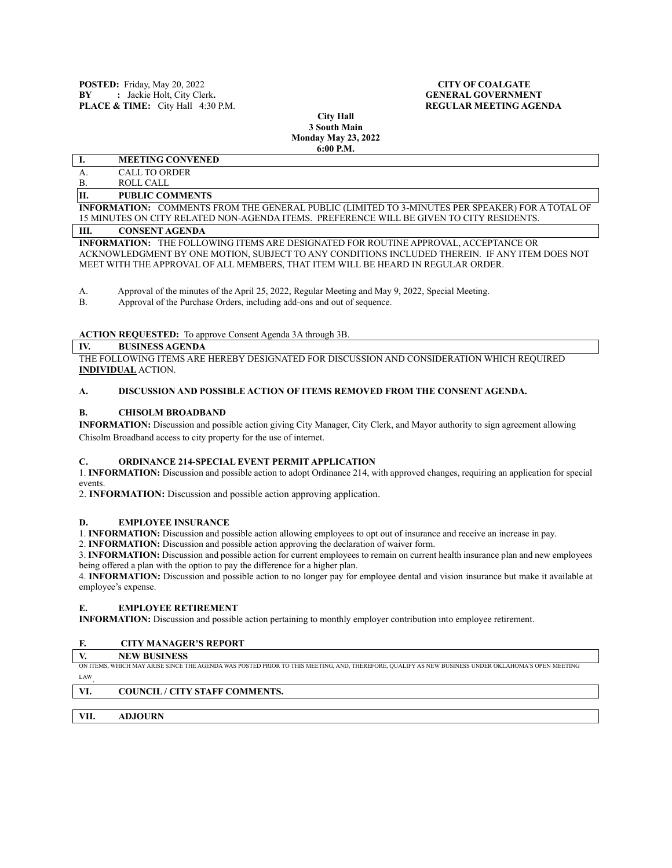**City Hall 3 South Main Monday May 23, 2022 6:00 P.M.**

# **I. MEETING CONVENED**

# A. CALL TO ORDER

# B. ROLL CALL

# **II. PUBLIC COMMENTS**

**INFORMATION:** COMMENTS FROM THE GENERAL PUBLIC (LIMITED TO 3-MINUTES PER SPEAKER) FOR A TOTAL OF 15 MINUTES ON CITY RELATED NON-AGENDA ITEMS. PREFERENCE WILL BE GIVEN TO CITY RESIDENTS.

#### **III. CONSENT AGENDA**

**INFORMATION:** THE FOLLOWING ITEMS ARE DESIGNATED FOR ROUTINE APPROVAL, ACCEPTANCE OR ACKNOWLEDGMENT BY ONE MOTION, SUBJECT TO ANY CONDITIONS INCLUDED THEREIN. IF ANY ITEM DOES NOT MEET WITH THE APPROVAL OF ALL MEMBERS, THAT ITEM WILL BE HEARD IN REGULAR ORDER.

A. Approval of the minutes of the April 25, 2022, Regular Meeting and May 9, 2022, Special Meeting.<br>B. Approval of the Purchase Orders, including add-ons and out of sequence.

Approval of the Purchase Orders, including add-ons and out of sequence.

### **ACTION REQUESTED:** To approve Consent Agenda 3A through 3B.

#### **IV. BUSINESS AGENDA**

THE FOLLOWING ITEMS ARE HEREBY DESIGNATED FOR DISCUSSION AND CONSIDERATION WHICH REQUIRED **INDIVIDUAL** ACTION.

# **A. DISCUSSION AND POSSIBLE ACTION OF ITEMS REMOVED FROM THE CONSENT AGENDA.**

#### **B. CHISOLM BROADBAND**

**INFORMATION:** Discussion and possible action giving City Manager, City Clerk, and Mayor authority to sign agreement allowing Chisolm Broadband access to city property for the use of internet.

#### **C. ORDINANCE 214-SPECIAL EVENT PERMIT APPLICATION**

1. **INFORMATION:** Discussion and possible action to adopt Ordinance 214, with approved changes, requiring an application for special events.

2. **INFORMATION:** Discussion and possible action approving application.

#### **D. EMPLOYEE INSURANCE**

1. **INFORMATION:** Discussion and possible action allowing employees to opt out of insurance and receive an increase in pay.

2. **INFORMATION:** Discussion and possible action approving the declaration of waiver form.

3. **INFORMATION:** Discussion and possible action for current employees to remain on current health insurance plan and new employees being offered a plan with the option to pay the difference for a higher plan.

4. **INFORMATION:** Discussion and possible action to no longer pay for employee dental and vision insurance but make it available at employee's expense.

#### **E. EMPLOYEE RETIREMENT**

**INFORMATION:** Discussion and possible action pertaining to monthly employer contribution into employee retirement.

# **F. CITY MANAGER'S REPORT**

**V. NEW BUSINESS**

ON ITEMS, WHICH MAY ARISE SINCE THE AGENDA WAS POSTED PRIOR TO THIS MEETING, AND, THEREFORE, QUALIFY AS NEW BUSINESS UNDER OKLAHOMA'S OPEN MEETING LAW.

# **VI. COUNCIL / CITY STAFF COMMENTS.**

**VII. ADJOURN**